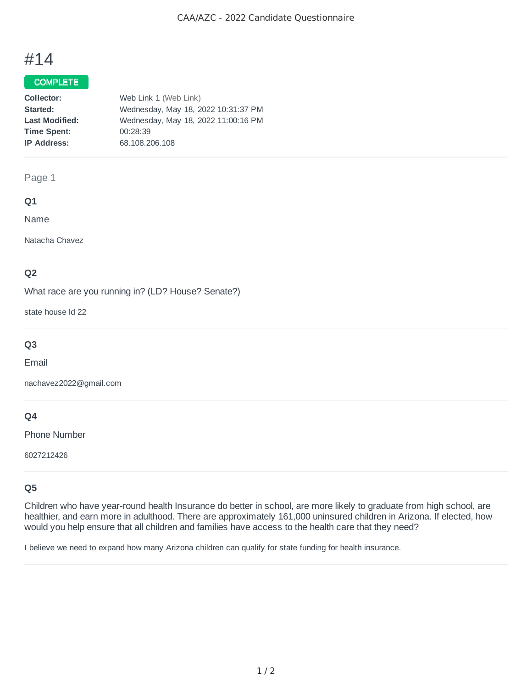# #14

# COMPLETE

| Web Link 1 (Web Link)               |
|-------------------------------------|
| Wednesday, May 18, 2022 10:31:37 PM |
| Wednesday, May 18, 2022 11:00:16 PM |
| 00:28:39                            |
| 68.108.206.108                      |
|                                     |

## Page 1

### **Q1**

Name

Natacha Chavez

## **Q2**

What race are you running in? (LD? House? Senate?)

state house ld 22

# **Q3**

Email

nachavez2022@gmail.com

## **Q4**

Phone Number

6027212426

# **Q5**

Children who have year-round health Insurance do better in school, are more likely to graduate from high school, are healthier, and earn more in adulthood. There are approximately 161,000 uninsured children in Arizona. If elected, how would you help ensure that all children and families have access to the health care that they need?

I believe we need to expand how many Arizona children can qualify for state funding for health insurance.